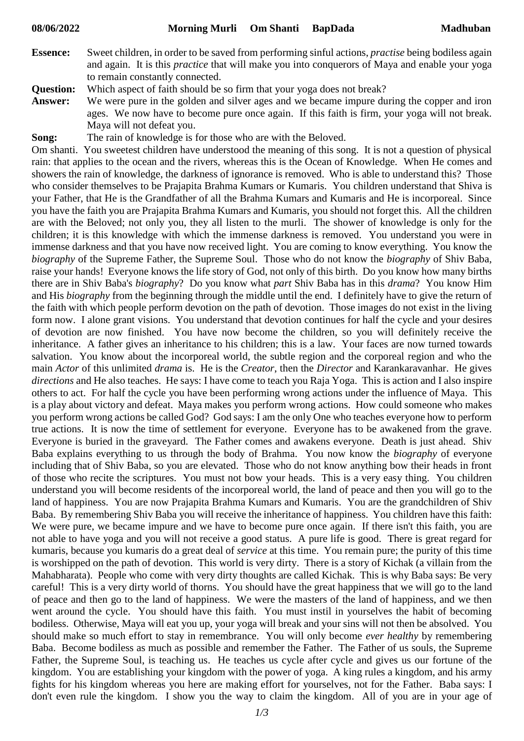**Essence:** Sweet children, in order to be saved from performing sinful actions, *practise* being bodiless again and again. It is this *practice* that will make you into conquerors of Maya and enable your yoga to remain constantly connected.

**Question:** Which aspect of faith should be so firm that your yoga does not break?

- **Answer:** We were pure in the golden and silver ages and we became impure during the copper and iron ages. We now have to become pure once again. If this faith is firm, your yoga will not break. Maya will not defeat you.
- **Song:** The rain of knowledge is for those who are with the Beloved.

Om shanti. You sweetest children have understood the meaning of this song. It is not a question of physical rain: that applies to the ocean and the rivers, whereas this is the Ocean of Knowledge. When He comes and showers the rain of knowledge, the darkness of ignorance is removed. Who is able to understand this? Those who consider themselves to be Prajapita Brahma Kumars or Kumaris. You children understand that Shiva is your Father, that He is the Grandfather of all the Brahma Kumars and Kumaris and He is incorporeal. Since you have the faith you are Prajapita Brahma Kumars and Kumaris, you should not forget this. All the children are with the Beloved; not only you, they all listen to the murli. The shower of knowledge is only for the children; it is this knowledge with which the immense darkness is removed. You understand you were in immense darkness and that you have now received light. You are coming to know everything. You know the *biography* of the Supreme Father, the Supreme Soul. Those who do not know the *biography* of Shiv Baba, raise your hands! Everyone knows the life story of God, not only of this birth. Do you know how many births there are in Shiv Baba's *biography*? Do you know what *part* Shiv Baba has in this *drama*? You know Him and His *biography* from the beginning through the middle until the end. I definitely have to give the return of the faith with which people perform devotion on the path of devotion. Those images do not exist in the living form now. I alone grant visions. You understand that devotion continues for half the cycle and your desires of devotion are now finished. You have now become the children, so you will definitely receive the inheritance. A father gives an inheritance to his children; this is a law. Your faces are now turned towards salvation. You know about the incorporeal world, the subtle region and the corporeal region and who the main *Actor* of this unlimited *drama* is. He is the *Creator*, then the *Director* and Karankaravanhar. He gives *directions* and He also teaches. He says: I have come to teach you Raja Yoga. This is action and I also inspire others to act. For half the cycle you have been performing wrong actions under the influence of Maya. This is a play about victory and defeat. Maya makes you perform wrong actions. How could someone who makes you perform wrong actions be called God? God says: I am the only One who teaches everyone how to perform true actions. It is now the time of settlement for everyone. Everyone has to be awakened from the grave. Everyone is buried in the graveyard. The Father comes and awakens everyone. Death is just ahead. Shiv Baba explains everything to us through the body of Brahma. You now know the *biography* of everyone including that of Shiv Baba, so you are elevated. Those who do not know anything bow their heads in front of those who recite the scriptures. You must not bow your heads. This is a very easy thing. You children understand you will become residents of the incorporeal world, the land of peace and then you will go to the land of happiness. You are now Prajapita Brahma Kumars and Kumaris. You are the grandchildren of Shiv Baba. By remembering Shiv Baba you will receive the inheritance of happiness. You children have this faith: We were pure, we became impure and we have to become pure once again. If there isn't this faith, you are not able to have yoga and you will not receive a good status. A pure life is good. There is great regard for kumaris, because you kumaris do a great deal of *service* at this time. You remain pure; the purity of this time is worshipped on the path of devotion. This world is very dirty. There is a story of Kichak (a villain from the Mahabharata). People who come with very dirty thoughts are called Kichak. This is why Baba says: Be very careful! This is a very dirty world of thorns. You should have the great happiness that we will go to the land of peace and then go to the land of happiness. We were the masters of the land of happiness, and we then went around the cycle. You should have this faith. You must instil in yourselves the habit of becoming bodiless. Otherwise, Maya will eat you up, your yoga will break and your sins will not then be absolved. You should make so much effort to stay in remembrance. You will only become *ever healthy* by remembering Baba. Become bodiless as much as possible and remember the Father. The Father of us souls, the Supreme Father, the Supreme Soul, is teaching us. He teaches us cycle after cycle and gives us our fortune of the kingdom. You are establishing your kingdom with the power of yoga. A king rules a kingdom, and his army fights for his kingdom whereas you here are making effort for yourselves, not for the Father. Baba says: I don't even rule the kingdom. I show you the way to claim the kingdom. All of you are in your age of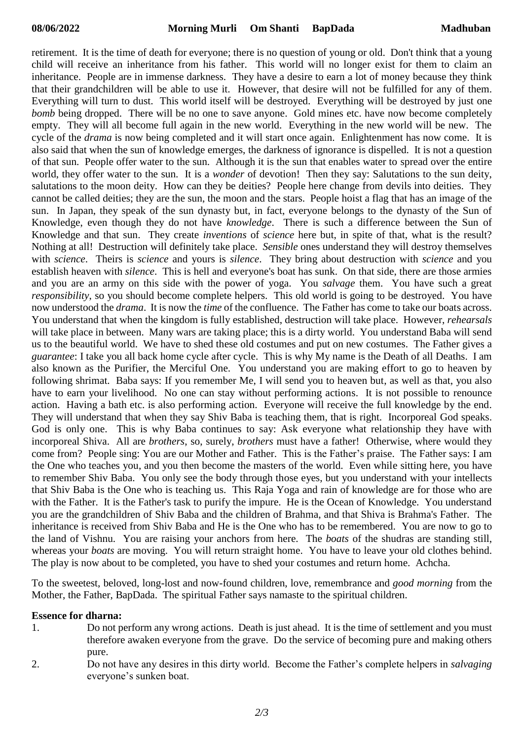retirement. It is the time of death for everyone; there is no question of young or old. Don't think that a young child will receive an inheritance from his father. This world will no longer exist for them to claim an inheritance. People are in immense darkness. They have a desire to earn a lot of money because they think that their grandchildren will be able to use it. However, that desire will not be fulfilled for any of them. Everything will turn to dust. This world itself will be destroyed. Everything will be destroyed by just one *bomb* being dropped. There will be no one to save anyone. Gold mines etc. have now become completely empty. They will all become full again in the new world. Everything in the new world will be new. The cycle of the *drama* is now being completed and it will start once again. Enlightenment has now come. It is also said that when the sun of knowledge emerges, the darkness of ignorance is dispelled. It is not a question of that sun. People offer water to the sun. Although it is the sun that enables water to spread over the entire world, they offer water to the sun. It is a *wonder* of devotion! Then they say: Salutations to the sun deity, salutations to the moon deity. How can they be deities? People here change from devils into deities. They cannot be called deities; they are the sun, the moon and the stars. People hoist a flag that has an image of the sun. In Japan, they speak of the sun dynasty but, in fact, everyone belongs to the dynasty of the Sun of Knowledge, even though they do not have *knowledge*. There is such a difference between the Sun of Knowledge and that sun. They create *inventions* of *science* here but, in spite of that, what is the result? Nothing at all! Destruction will definitely take place. *Sensible* ones understand they will destroy themselves with *science*. Theirs is *science* and yours is *silence*. They bring about destruction with *science* and you establish heaven with *silence*. This is hell and everyone's boat has sunk. On that side, there are those armies and you are an army on this side with the power of yoga. You *salvage* them. You have such a great *responsibility*, so you should become complete helpers. This old world is going to be destroyed. You have now understood the *drama*. It is now the *time* of the confluence. The Father has come to take our boats across. You understand that when the kingdom is fully established, destruction will take place. However, *rehearsals* will take place in between. Many wars are taking place; this is a dirty world. You understand Baba will send us to the beautiful world. We have to shed these old costumes and put on new costumes. The Father gives a *guarantee*: I take you all back home cycle after cycle. This is why My name is the Death of all Deaths. I am also known as the Purifier, the Merciful One. You understand you are making effort to go to heaven by following shrimat. Baba says: If you remember Me, I will send you to heaven but, as well as that, you also have to earn your livelihood. No one can stay without performing actions. It is not possible to renounce action. Having a bath etc. is also performing action. Everyone will receive the full knowledge by the end. They will understand that when they say Shiv Baba is teaching them, that is right. Incorporeal God speaks. God is only one. This is why Baba continues to say: Ask everyone what relationship they have with incorporeal Shiva. All are *brothers*, so, surely, *brothers* must have a father! Otherwise, where would they come from? People sing: You are our Mother and Father. This is the Father's praise. The Father says: I am the One who teaches you, and you then become the masters of the world. Even while sitting here, you have to remember Shiv Baba. You only see the body through those eyes, but you understand with your intellects that Shiv Baba is the One who is teaching us. This Raja Yoga and rain of knowledge are for those who are with the Father. It is the Father's task to purify the impure. He is the Ocean of Knowledge. You understand you are the grandchildren of Shiv Baba and the children of Brahma, and that Shiva is Brahma's Father. The inheritance is received from Shiv Baba and He is the One who has to be remembered. You are now to go to the land of Vishnu. You are raising your anchors from here. The *boats* of the shudras are standing still, whereas your *boats* are moving. You will return straight home. You have to leave your old clothes behind. The play is now about to be completed, you have to shed your costumes and return home. Achcha.

To the sweetest, beloved, long-lost and now-found children, love, remembrance and *good morning* from the Mother, the Father, BapDada. The spiritual Father says namaste to the spiritual children.

## **Essence for dharna:**

- 1. Do not perform any wrong actions. Death is just ahead. It is the time of settlement and you must therefore awaken everyone from the grave. Do the service of becoming pure and making others pure.
- 2. Do not have any desires in this dirty world. Become the Father's complete helpers in *salvaging* everyone's sunken boat.